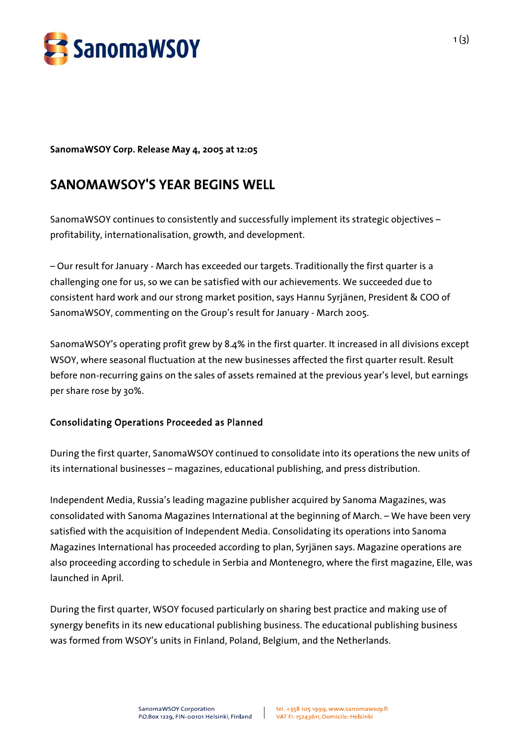

**SanomaWSOY Corp. Release May 4, 2005 at 12:05** 

## **SANOMAWSOY'S YEAR BEGINS WELL**

SanomaWSOY continues to consistently and successfully implement its strategic objectives – profitability, internationalisation, growth, and development.

– Our result for January - March has exceeded our targets. Traditionally the first quarter is a challenging one for us, so we can be satisfied with our achievements. We succeeded due to consistent hard work and our strong market position, says Hannu Syrjänen, President & COO of SanomaWSOY, commenting on the Group's result for January - March 2005.

SanomaWSOY's operating profit grew by 8.4% in the first quarter. It increased in all divisions except WSOY, where seasonal fluctuation at the new businesses affected the first quarter result. Result before non-recurring gains on the sales of assets remained at the previous year's level, but earnings per share rose by 30%.

## Consolidating Operations Proceeded as Planned

During the first quarter, SanomaWSOY continued to consolidate into its operations the new units of its international businesses – magazines, educational publishing, and press distribution.

Independent Media, Russia's leading magazine publisher acquired by Sanoma Magazines, was consolidated with Sanoma Magazines International at the beginning of March. – We have been very satisfied with the acquisition of Independent Media. Consolidating its operations into Sanoma Magazines International has proceeded according to plan, Syrjänen says. Magazine operations are also proceeding according to schedule in Serbia and Montenegro, where the first magazine, Elle, was launched in April.

During the first quarter, WSOY focused particularly on sharing best practice and making use of synergy benefits in its new educational publishing business. The educational publishing business was formed from WSOY's units in Finland, Poland, Belgium, and the Netherlands.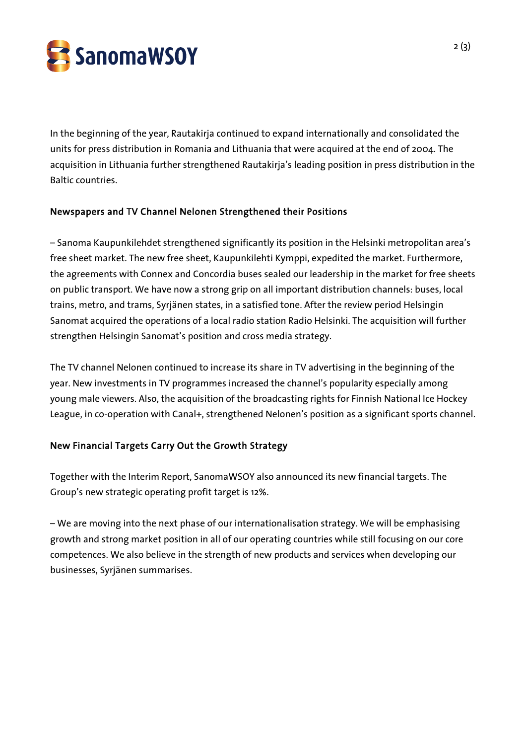

In the beginning of the year, Rautakirja continued to expand internationally and consolidated the units for press distribution in Romania and Lithuania that were acquired at the end of 2004. The acquisition in Lithuania further strengthened Rautakirja's leading position in press distribution in the Baltic countries.

## Newspapers and TV Channel Nelonen Strengthened their Positions

– Sanoma Kaupunkilehdet strengthened significantly its position in the Helsinki metropolitan area's free sheet market. The new free sheet, Kaupunkilehti Kymppi, expedited the market. Furthermore, the agreements with Connex and Concordia buses sealed our leadership in the market for free sheets on public transport. We have now a strong grip on all important distribution channels: buses, local trains, metro, and trams, Syrjänen states, in a satisfied tone. After the review period Helsingin Sanomat acquired the operations of a local radio station Radio Helsinki. The acquisition will further strengthen Helsingin Sanomat's position and cross media strategy.

The TV channel Nelonen continued to increase its share in TV advertising in the beginning of the year. New investments in TV programmes increased the channel's popularity especially among young male viewers. Also, the acquisition of the broadcasting rights for Finnish National Ice Hockey League, in co-operation with Canal+, strengthened Nelonen's position as a significant sports channel.

## New Financial Targets Carry Out the Growth Strategy

Together with the Interim Report, SanomaWSOY also announced its new financial targets. The Group's new strategic operating profit target is 12%.

– We are moving into the next phase of our internationalisation strategy. We will be emphasising growth and strong market position in all of our operating countries while still focusing on our core competences. We also believe in the strength of new products and services when developing our businesses, Syrjänen summarises.